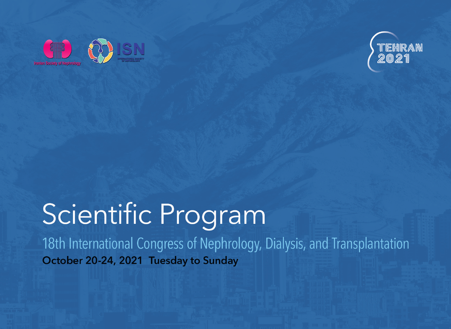



# **Scientific Program**

18th International Congress of Nephrology, Dialysis, and Transplantation October 20-24, 2021 Tuesday to Sunday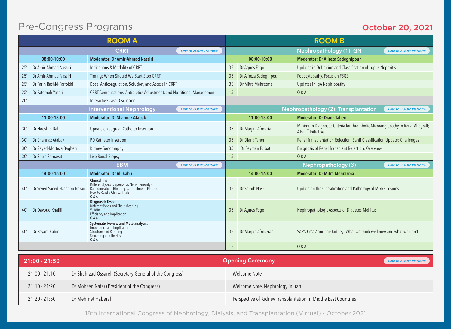## Pre-Congress Programs

#### October 20, 2021

| <b>ROOM A</b> |                               |                                                                                                                                                                    |                              |     |                         | <b>ROOM B</b>                                                                                        |                              |
|---------------|-------------------------------|--------------------------------------------------------------------------------------------------------------------------------------------------------------------|------------------------------|-----|-------------------------|------------------------------------------------------------------------------------------------------|------------------------------|
|               |                               | <b>CRRT</b>                                                                                                                                                        | <b>Link to ZOOM Platform</b> |     |                         | Nephropathology (1): GN                                                                              | <b>Link to ZOOM Platform</b> |
|               | 08:00-10:00                   | <b>Moderator: Dr Amir-Ahmad Nassiri</b>                                                                                                                            |                              |     | 08:00-10:00             | <b>Moderator: Dr Alireza Sadeghipour</b>                                                             |                              |
| 25'           | Dr Amir-Ahmad Nassiri         | Indications & Modality of CRRT                                                                                                                                     |                              | 35' | Dr Agnes Fogo           | Updates in Definition and Classification of Lupus Nephritis                                          |                              |
| 25'           | Dr Amir-Ahmad Nassiri         | Timing; When Should We Start-Stop CRRT                                                                                                                             |                              | 35' | Dr Alireza Sadeghipour  | Podocytopathy, Focus on FSGS                                                                         |                              |
| 25'           | Dr Farin Rashid-Farrokhi      | Dose, Anticoagulation, Solution, and Access in CRRT                                                                                                                |                              | 35' | Dr Mitra Mehrazma       | Updates in IqA Nephropathy                                                                           |                              |
| 25'           | Dr Fatemeh Yasari             | CRRT Complications, Antibiotics Adjustment, and Nutritional Management                                                                                             |                              | 15  |                         | Q & A                                                                                                |                              |
| 20'           |                               | Interactive Case Discussion                                                                                                                                        |                              |     |                         |                                                                                                      |                              |
|               |                               | <b>Interventional Nephrology</b>                                                                                                                                   | <b>Link to ZOOM Platform</b> |     |                         | Nephropathology (2): Transplantation                                                                 | <b>Link to ZOOM Platform</b> |
|               | 11:00-13:00                   | <b>Moderator: Dr Shahnaz Atabak</b>                                                                                                                                |                              |     | 11:00-13:00             | <b>Moderator: Dr Diana Taheri</b>                                                                    |                              |
| 30'           | Dr Nooshin Dalili             | Update on Jugular Catheter Insertion                                                                                                                               |                              | 35' | Dr Marjan Afrouzian     | Minimum Diagnostic Criteria for Thrombotic Microangiopathy in Renal Allograft;<br>A Banff Initiative |                              |
| 30'           | Dr Shahnaz Atabak             | PD Catheter Insertion                                                                                                                                              |                              | 35' | Dr Diana Taheri         | Renal Transplantation Rejection, Banff Classification Update; Challenges                             |                              |
| 30'           | Dr Seyed-Morteza Bagheri      | Kidney Sonography                                                                                                                                                  |                              | 35  | Dr Peyman Torbati       | Diagnosis of Renal Transplant Rejection: Overview                                                    |                              |
| 30'           | Dr Shiva Samavat              | Live Renal Biopsy                                                                                                                                                  |                              | 15' |                         | Q & A                                                                                                |                              |
|               |                               | <b>EBM</b>                                                                                                                                                         | <b>Link to ZOOM Platform</b> |     |                         | Nephropathology (3)                                                                                  | <b>Link to ZOOM Platform</b> |
|               | 14:00-16:00                   | <b>Moderator: Dr Ali Kabir</b>                                                                                                                                     |                              |     | 14:00-16:00             | <b>Moderator: Dr Mitra Mehrazma</b>                                                                  |                              |
| 40'           | Dr Seyed Saeed Hashemi-Nazari | <b>Clinical Trial:</b><br>Different Types (Superiority, Non-inferiority)<br>Randomization, Blinding, Concealment, Placebo<br>How to Read a Clinical Trial?<br>0.8A |                              | 35' | Dr Samih Nasr           | Update on the Classification and Pathology of MGRS Lesions                                           |                              |
| 40'           | Dr Davoud Khalili             | <b>Diagnostic Tests:</b><br>Different Types and Their Meaning<br>Validity<br><b>Efficiency and Implication</b><br>0.8A                                             |                              | 35' | Dr Agnes Fogo           | Nephropathologic Aspects of Diabetes Mellitus                                                        |                              |
| 40'           | Dr Payam Kabiri               | Systematic Review and Meta-analysis:<br>Importance and Implication<br>Structure and Running<br>Searching and Retrieval<br>Q & A                                    |                              | 35' | Dr Marjan Afrouzian     | SARS-CoV-2 and the Kidney; What we think we know and what we don't                                   |                              |
|               |                               |                                                                                                                                                                    |                              | 15' |                         | Q & A                                                                                                |                              |
|               |                               |                                                                                                                                                                    |                              |     |                         |                                                                                                      |                              |
|               | $21:00 - 21:50$               |                                                                                                                                                                    |                              |     | <b>Opening Ceremony</b> |                                                                                                      | <b>Link to ZOOM Platform</b> |
|               | $21:00 - 21:10$               | Dr Shahrzad Ossareh (Secretary-General of the Congress)                                                                                                            |                              |     | Welcome Note            |                                                                                                      |                              |

18th International Congress of Nephrology, Dialysis, and Transplantation (Virtual) - October 2021

21:10 - 21:20 Dr Mohsen Nafar (President of the Congress) Welcome Note, Nephrology in Iran

21:20 - 21:50 Dr Mehmet Haberal Perspective of Kidney Transplantation in Middle East Countries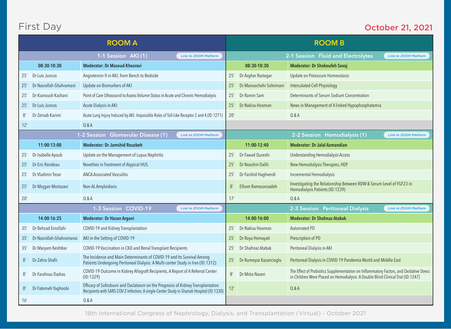# First Day

#### October 21, 2021

| <b>ROOM A</b> |                          |                                                                                                                                                                                 |     |                                                                    | <b>ROOM B</b>                                                                                                                                                              |  |
|---------------|--------------------------|---------------------------------------------------------------------------------------------------------------------------------------------------------------------------------|-----|--------------------------------------------------------------------|----------------------------------------------------------------------------------------------------------------------------------------------------------------------------|--|
|               |                          | 1-1 Session AKI (1)<br><b>Link to ZOOM Platform</b>                                                                                                                             |     | 2-1 Session Fluid and Electrolytes<br><b>Link to ZOOM Platform</b> |                                                                                                                                                                            |  |
|               | 08:30-10:30              | <b>Moderator: Dr Masoud Khosravi</b>                                                                                                                                            |     | 08:30-10:30                                                        | <b>Moderator: Dr Shokoufeh Savaj</b>                                                                                                                                       |  |
| 25'           | Dr Luis Juncos           | Angiotensin II in AKI; from Bench to Bedside                                                                                                                                    | 25' | Dr Asghar Rastegar                                                 | Update on Potassium Homeostasis                                                                                                                                            |  |
| 25'           | Dr Nasrollah Ghahramani  | Update on Biomarkers of AKI                                                                                                                                                     | 25' | Dr Manoochehr Soleimani                                            | Intercalated Cell Physiology                                                                                                                                               |  |
| 25'           | Dr Kianoush Kashani      | Point of Care Ultrasound to Assess Volume Status in Acute and Chronic Hemodialysis                                                                                              | 25' | Dr Ramin Sam                                                       | Determinants of Serum Sodium Concentration                                                                                                                                 |  |
| 25'           | Dr Luis Juncos           | Acute Dialysis in AKI                                                                                                                                                           | 25' | Dr Nakisa Hooman                                                   | News in Management of X-linked Hypophosphatemia                                                                                                                            |  |
| 8'            | Dr Zeinab Karimi         | Acute Lung Injury Induced by AKI: Impossible Roles of Toll-Like Receptor 2 and 4 (ID:1271)                                                                                      | 20' |                                                                    | $0&$ A                                                                                                                                                                     |  |
| 12'           |                          | Q & A                                                                                                                                                                           |     |                                                                    |                                                                                                                                                                            |  |
|               |                          | 1-2 Session Glomerular Disease (1)<br><b>Link to ZOOM Platform</b>                                                                                                              |     |                                                                    | 2-2 Session Hemodialysis (1)<br><b>Link to ZOOM Platform</b>                                                                                                               |  |
|               | 11:00-13:00              | <b>Moderator: Dr Jamshid Rouzbeh</b>                                                                                                                                            |     | 11:00-12:40                                                        | <b>Moderator: Dr Jalal Azmandian</b>                                                                                                                                       |  |
| 25'           | Dr Isabelle Ayoub        | Update on the Management of Lupus Nephritis                                                                                                                                     | 25' | Dr Fawad Qureshi                                                   | <b>Understanding Hemodialysis Access</b>                                                                                                                                   |  |
| 25'           | Dr Eric Rondeau          | Novelties in Treatment of Atypical HUS                                                                                                                                          | 25' | Dr Nooshin Dalili                                                  | New Hemodialysis Therapies, HDF                                                                                                                                            |  |
| 25'           | Dr Vladimir Tesar        | <b>ANCA Associated Vasculitis</b>                                                                                                                                               | 25' | Dr Farshid Haghverdi                                               | <b>Incremental Hemodialysis</b>                                                                                                                                            |  |
| 25'           | Dr Mojgan Mortazavi      | Non-AL Amyloidosis                                                                                                                                                              | 8'  | Elham Ramezanzadeh                                                 | Investigating the Relationship Between RDW & Serum Level of FGF23 in<br>Hemodialysis Patients (ID:1239)                                                                    |  |
| 20'           |                          | 0 & A                                                                                                                                                                           | 17' |                                                                    | $0&$ A                                                                                                                                                                     |  |
|               |                          | 1-3 Session COVID-19<br><b>Link to ZOOM Platform</b>                                                                                                                            |     |                                                                    | 2-3 Session Peritoneal Dialysis<br><b>Link to ZOOM Platform</b>                                                                                                            |  |
|               | 14:00-16:25              | Moderator: Dr Hasan Argani                                                                                                                                                      |     | 14:00-16:00                                                        | <b>Moderator: Dr Shahnaz Atabak</b>                                                                                                                                        |  |
| 35'           | Dr Behzad Einollahi      | COVID-19 and Kidney Transplantation                                                                                                                                             | 25' | Dr Nakisa Hooman                                                   | Automated PD                                                                                                                                                               |  |
| 35'           | Dr Nasrollah Ghahramanai | AKI in the Setting of COVID-19                                                                                                                                                  | 25' | Dr Roya Hemayati                                                   | Prescription of PD                                                                                                                                                         |  |
| 35'           | Dr Maryam Keshtkar       | COVID-19 Vaccination in CKD and Renal Transplant Recipients                                                                                                                     | 25' | Dr Shahnaz Atabak                                                  | Peritoneal Dialysis in AKI                                                                                                                                                 |  |
| 8'            | Dr Zahra Shafii          | The Incidence and Main Determinants of COVID-19 and Its Survival Among<br>Patients Undergoing Peritoneal Dialysis: A Multi-center Study in Iran (ID:1312)                       | 25' | Dr Rumeyza Kazancioglu                                             | Peritoneal Dialysis in COVID-19 Pandemia World and Middle East                                                                                                             |  |
| 8'            | Dr Farahnaz Dadras       | COVID-19 Outcome in Kidney Allograft Recipients, A Report of A Referral Center<br>(ID:1329)                                                                                     | 8'  | Dr Mitra Naseri                                                    | The Effect of Probiotics Supplementation on Inflammatory Factors, and Oxidative Stress<br>in Children Were Placed on Hemodialysis: A Double Blind Clinical Trial (ID:1247) |  |
| 8'            | Dr Fatemeh Yaqhoobi      | Efficacy of Sofosbuvir and Daclatasvir on the Prognosis of Kidney Transplantation<br>Recipients with SARS-COV-2 Infection; A single-Center Study in Shariati Hospital (ID:1330) | 12' |                                                                    | 0 & A                                                                                                                                                                      |  |
| 16'           |                          | Q & A                                                                                                                                                                           |     |                                                                    |                                                                                                                                                                            |  |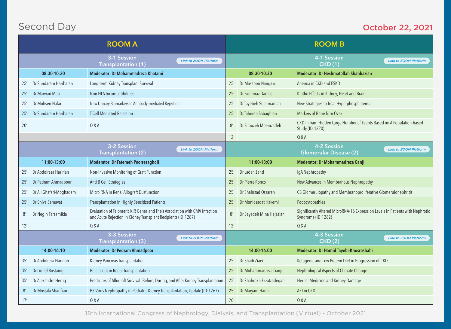# Second Day

#### October 22, 2021

| <b>ROOM A</b> |                         |                                                                                                                                             |     |                          | <b>ROOM B</b>                                                                                        |
|---------------|-------------------------|---------------------------------------------------------------------------------------------------------------------------------------------|-----|--------------------------|------------------------------------------------------------------------------------------------------|
|               |                         | 3-1 Session<br><b>Link to ZOOM Platform</b><br>Transplantation (1)                                                                          |     |                          | 4-1 Session<br><b>Link to ZOOM Platform</b><br><b>CKD(1)</b>                                         |
|               | 08:30-10:30             | Moderator: Dr Mohammadreza Khatami                                                                                                          |     | 08:30-10:30              | <b>Moderator: Dr Heshmatollah Shahbazian</b>                                                         |
| 25'           | Dr Sundaram Hariharan   | Long-term Kidney Transplant Survival                                                                                                        | 25' | Dr Masaomi Nangaku       | Anemia in CKD and ESKD                                                                               |
| 25'           | Dr Marwan Masri         | Non HLA Incompatibilities                                                                                                                   | 25  | Dr Farahnaz Dadras       | Klotho Effects in Kidney, Heart and Brain                                                            |
| 25'           | Dr Mohsen Nafar         | New Urinary Biomarkers in Antibody-mediated Rejection                                                                                       | 25' | Dr Tayebeh Soleimanian   | New Strategies to Treat Hyperphosphatemia                                                            |
| 25'           | Dr Sundaram Hariharan   | <b>T Cell Mediated Rejection</b>                                                                                                            | 25  | Dr Tahereh Sabaghian     | Markers of Bone Turn Over                                                                            |
| 20'           |                         | Q & A                                                                                                                                       | 8'  | Dr Firouzeh Moeinzadeh   | CKD in Iran: Hidden Large Number of Events Based on A Population-based<br>Study (ID:1320)            |
|               |                         |                                                                                                                                             | 12' |                          | Q & A                                                                                                |
|               |                         | 3-2 Session<br><b>Link to ZOOM Platform</b><br><b>Transplantation (2)</b>                                                                   |     |                          | 4-2 Session<br><b>Link to ZOOM Platform</b><br><b>Glomerular Disease (2)</b>                         |
|               | 11:00-13:00             | Moderator: Dr Fatemeh Poorrezagholi                                                                                                         |     | 11:00-13:00              | Moderator: Dr Mohammadreza Ganji                                                                     |
| 25'           | Dr Abdolreza Haririan   | Non-invasive Monitoring of Graft Function                                                                                                   | 25' | Dr Ladan Zand            | IqA Nephropathy                                                                                      |
| 25'           | Dr Pedram Ahmadpoor     | Anti B Cell Strategies                                                                                                                      | 25' | Dr Pierre Ronco          | New Advances in Membranous Nephropathy                                                               |
| 25'           | Dr Ali Ghafari-Moghadam | Micro RNA in Renal Allograft Dusfunction                                                                                                    | 25  | Dr Shahrzad Ossareh      | C3 Glomerulopathy and Membranoproliferative Glomerulonephritis                                       |
| 25'           | Dr Shiva Samavat        | <b>Transplantation in Highly Sensitized Patients</b>                                                                                        | 25' | Dr Moniosadat Hakemi     | Podocytopathies                                                                                      |
| 8'            | Dr Negin Farzamikia     | Evaluation of Telomeric KIR Genes and Their Association with CMV Infection<br>and Acute Rejection in Kidney Transplant Recipients (ID:1287) | 8'  | Dr Seyedeh Mina Hejazian | Significantly Altered MicroRNA-16 Expression Levels in Patients with Nephrotic<br>Syndrome (ID:1262) |
| 12'           |                         | 0 & A                                                                                                                                       | 12' |                          | $0&$ A                                                                                               |
|               |                         | 3-3 Session<br><b>Link to ZOOM Platform</b><br><b>Transplantation (3)</b>                                                                   |     |                          | 4-3 Session<br><b>Link to ZOOM Platform</b><br>CKD(2)                                                |
|               | 14:00-16:10             | <b>Moderator: Dr Pedram Ahmadpoor</b>                                                                                                       |     | 14:00-16:00              | Moderator: Dr Hamid Tayebi-Khosroshahi                                                               |
| 35'           | Dr Abdolreza Haririan   | Kidney Pancreas Transplantation                                                                                                             | 25' | Dr Shadi Ziaei           | Ketogenic and Low Protein Diet in Progression of CKD                                                 |
| 35'           | Dr Lionel Rostaing      | <b>Belatacept in Renal Transplantation</b>                                                                                                  | 25  | Dr Mohammadreza Ganji    | Nephrological Aspects of Climate Change                                                              |
| 35'           | Dr Alexandre Hertig     | Predictors of Allograft Survival: Before, During, and After Kidney Transplantation                                                          | 25' | Dr Shahrokh Ezzatzadegan | Herbal Medicine and Kidney Damage                                                                    |
| 8'            | Dr Mostafa Sharifian    | BK Virus Nephropathy in Pediatric Kidney Transplantation, Update (ID:1267)                                                                  | 25' | Dr Maryam Hami           | AKI in CKD                                                                                           |
| 17'           |                         | Q & A                                                                                                                                       | 20' |                          | Q&A                                                                                                  |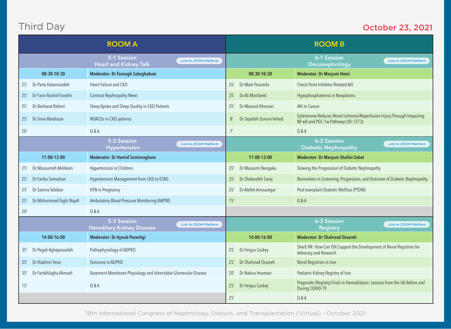# Third Day

#### October 23, 2021

| <b>ROOM A</b> |                          |                                                                 |                              |     |                         | <b>ROOM B</b>                                                                                                 |                              |
|---------------|--------------------------|-----------------------------------------------------------------|------------------------------|-----|-------------------------|---------------------------------------------------------------------------------------------------------------|------------------------------|
|               |                          | 5-1 Session<br><b>Heart and Kidney Talk</b>                     | <b>Link to ZOOM Platform</b> |     |                         | 6-1 Session<br>Onconephrology                                                                                 | <b>Link to ZOOM Platform</b> |
|               | 08:30-10:30              | Moderator: Dr Forough Sabzghabaei                               |                              |     | 08:30-10:30             | <b>Moderator: Dr Maryam Hami</b>                                                                              |                              |
| 25'           | Dr Parta Hatamizadeh     | Heart Failure and CKD                                           |                              | 35' | Dr Mark Perazella       | Check Point Inhibitor Related AKI                                                                             |                              |
| 25'           | Dr Farin Rashid-Farokhi  | <b>Contrast Nephropathy News</b>                                |                              | 35' | Dr Ali Monfared         | Hypophosphatemia in Neoplasms                                                                                 |                              |
| 25'           | Dr Besharat Rahimi       | Sleep Apnea and Sleep Quality in CKD Patients                   |                              | 35' | Dr Masoud Khosravi      | AKI in Cancer                                                                                                 |                              |
| 25'           | Dr Sima Abediazar        | NOACDs in CKD patients                                          |                              | 8'  | Dr Sepideh Zununi-Vahed | Eplerenone Reduces Renal Ischemia/Reperfusion Injury Through Impacting<br>NF-κB and PGC-1α Pathways (ID:1273) |                              |
| 20'           |                          | 0 & A                                                           |                              | 7'  |                         | Q & A                                                                                                         |                              |
|               |                          | 5-2 Session<br><b>Hypertension</b>                              | <b>Link to ZOOM Platform</b> |     |                         | 6-2 Session<br><b>Diabetic Nephropathy</b>                                                                    | <b>Link to ZOOM Platform</b> |
|               | 11:00-13:00              | <b>Moderator: Dr Hamid Samimagham</b>                           |                              |     | 11:00-13:00             | <b>Moderator: Dr Maryam Shafiei-Sabet</b>                                                                     |                              |
| 25'           | Dr Masoumeh Mohkam       | Hypertension in Children                                        |                              | 35' | Dr Masaomi Nangaku      | Slowing the Progression of Diabetic Nephropathy                                                               |                              |
| 25'           | Dr Fariba Samadian       | Hypertension Management from CKD to ESRD                        |                              | 35  | Dr Shokoufeh Savaj      | Biomarkers in Screening, Progression, and Outcome of Diabetic Nephropathy                                     |                              |
| 25'           | Dr Samira Tabiban        | HTN in Pregnancy                                                |                              | 35' | Dr Atefeh Amouzegar     | Post-transplant Diabetic Mellitus (PTDM)                                                                      |                              |
| 25'           | Dr Mohammad-Taghi Najafi | Ambulatory Blood Pressure Monitoring (ABPM)                     |                              | 15' |                         | Q & A                                                                                                         |                              |
| 20'           |                          | Q & A                                                           |                              |     |                         |                                                                                                               |                              |
|               |                          | 5-3 Session<br><b>Hereditary Kidney Disease</b>                 | <b>Link to ZOOM Platform</b> |     |                         | 6-3 Session<br>Registry                                                                                       | <b>Link to ZOOM Platform</b> |
|               | 14:00-16:00              | Moderator: Dr Ayoub Pezeshgi                                    |                              |     | 14:00-16:00             | <b>Moderator: Dr Shahrzad Ossareh</b>                                                                         |                              |
| 35'           | Dr Pegah Aghajanzadeh    | Pathophysiology of ADPKD                                        |                              | 25' | Dr Fergus Caskey        | SharE-RR: How Can ISN Support the Development of Renal Registries for<br>Advocacy and Research                |                              |
| 35'           | Dr Vladimir Tesar        | Outcome in ADPKD                                                |                              | 25' | Dr Shahrzad Ossareh     | Renal Registries in Iran                                                                                      |                              |
| 35'           | Dr Farokhlagha Ahmadi    | Basement Membrane Physiology and Inheritable Glomerular Disease |                              | 20' | Dr Nakisa Hooman        | Pediatric Kidney Registry of Iran                                                                             |                              |
| 15'           |                          | Q & A                                                           |                              | 25' | Dr Fergus Caskey        | Pragmatic (Registry) Trials in Hemodialysis: Lessons from the UK Before and<br>During COVID-19                |                              |
|               |                          |                                                                 |                              | 25' |                         | Q & A                                                                                                         |                              |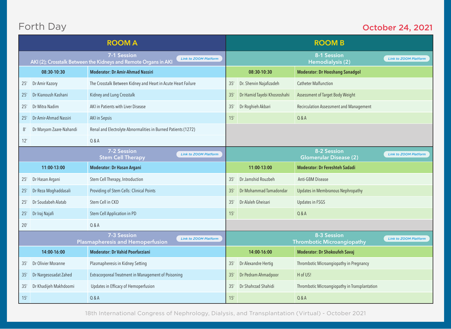# Forth Day

#### October 24, 2021

| <b>ROOM A</b> |                                                                                                                |                                                                                        |  | <b>ROOM B</b> |                             |                                                  |                              |
|---------------|----------------------------------------------------------------------------------------------------------------|----------------------------------------------------------------------------------------|--|---------------|-----------------------------|--------------------------------------------------|------------------------------|
|               | 7-1 Session<br><b>Link to ZOOM Platform</b><br>AKI (2); Crosstalk Between the Kidneys and Remote Organs in AKI |                                                                                        |  |               |                             | 8-1 Session<br>Hemodialysis (2)                  | <b>Link to ZOOM Platform</b> |
|               | 08:30-10:30                                                                                                    | <b>Moderator: Dr Amir-Ahmad Nassiri</b>                                                |  |               | 08:30-10:30                 | <b>Moderator: Dr Hooshang Sanadgol</b>           |                              |
| 25'           | Dr Amir Kazory                                                                                                 | The Crosstalk Between Kidney and Heart in Acute Heart Failure                          |  | 35'           | Dr. Shervin Najafizadeh     | <b>Catheter Malfunction</b>                      |                              |
| 25'           | Dr Kianoush Kashani                                                                                            | Kidney and Lung Crosstalk                                                              |  | 35'           | Dr Hamid Tayebi Khosroshahi | Assessment of Target Body Weight                 |                              |
| 25'           | Dr Mitra Nadim                                                                                                 | AKI in Patients with Liver Disease                                                     |  | 35'           | Dr Roghieh Akbari           | Recirculation Assessment and Management          |                              |
| 25'           | Dr Amir-Ahmad Nassiri                                                                                          | <b>AKI</b> in Sepsis                                                                   |  | 15'           |                             | Q & A                                            |                              |
| 8'            | Dr Maryam Zaare-Nahandi                                                                                        | Renal and Electrolyte Abnormalities in Burned Patients (1272)                          |  |               |                             |                                                  |                              |
| 12'           |                                                                                                                | 0 & A                                                                                  |  |               |                             |                                                  |                              |
|               |                                                                                                                | 7-2 Session<br><b>Link to ZOOM Platform</b><br><b>Stem Cell Therapy</b>                |  |               |                             | 8-2 Session<br><b>Glomerular Disease (2)</b>     | <b>Link to ZOOM Platform</b> |
|               | 11:00-13:00                                                                                                    | Moderator: Dr Hasan Argani                                                             |  |               | 11:00-13:00                 | <b>Moderator: Dr Fereshteh Sadadi</b>            |                              |
| 25'           | Dr Hasan Argani                                                                                                | Stem Cell Therapy, Introduction                                                        |  | 35'           | Dr Jamshid Rouzbeh          | Anti-GBM Disease                                 |                              |
| 25'           | Dr Reza Moghaddasali                                                                                           | Providing of Stem Cells: Clinical Points                                               |  | 35'           | Dr Mohammad Tamadondar      | Updates in Membranous Nephropathy                |                              |
| 25'           | Dr Soudabeh Alatab                                                                                             | Stem Cell in CKD                                                                       |  | 35'           | Dr Alaleh Gheisari          | Updates in FSGS                                  |                              |
| 25'           | Dr Iraj Najafi                                                                                                 | Stem Cell Application in PD                                                            |  | 15'           |                             | Q & A                                            |                              |
| 20'           |                                                                                                                | 0 & A                                                                                  |  |               |                             |                                                  |                              |
|               |                                                                                                                | 7-3 Session<br><b>Link to ZOOM Platform</b><br><b>Plasmapheresis and Hemoperfusion</b> |  |               |                             | 8-3 Session<br><b>Thrombotic Microangiopathy</b> | <b>Link to ZOOM Platform</b> |
|               | 14:00-16:00                                                                                                    | <b>Moderator: Dr Vahid Poorfarziani</b>                                                |  |               | 14:00-16:00                 | <b>Moderator: Dr Shokoufeh Savaj</b>             |                              |
| 35'           | Dr Olivier Moranne                                                                                             | Plasmapheresis in Kidney Setting                                                       |  | 35'           | Dr Alexandre Hertig         | Thrombotic Microangiopathy in Pregnancy          |                              |
| 35'           | Dr Nargesosadat Zahed                                                                                          | Extracorporeal Treatment in Management of Poisoning                                    |  | 35'           | Dr Pedram Ahmadpoor         | H of US!                                         |                              |
| 35'           | Dr Khadijeh Makhdoomi                                                                                          | Updates in Efficacy of Hemoperfusion                                                   |  | 35'           | Dr Shahrzad Shahidi         | Thrombotic Microangiopathy in Transplantation    |                              |
| 15'           |                                                                                                                | 0 & A                                                                                  |  | 15'           |                             | Q & A                                            |                              |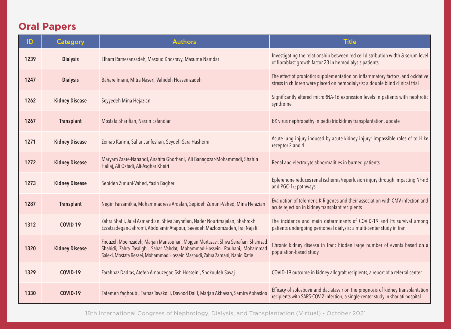## **Oral Papers**

| ID   | <b>Category</b>       | <b>Authors</b>                                                                                                                                                                                                                                   | <b>Title</b>                                                                                                                                                          |
|------|-----------------------|--------------------------------------------------------------------------------------------------------------------------------------------------------------------------------------------------------------------------------------------------|-----------------------------------------------------------------------------------------------------------------------------------------------------------------------|
| 1239 | <b>Dialysis</b>       | Elham Ramezanzadeh, Masoud Khosravy, Masume Namdar                                                                                                                                                                                               | Investigating the relationship between red cell distribution width & serum level<br>of fibroblast growth factor 23 in hemodialysis patients                           |
| 1247 | <b>Dialysis</b>       | Bahare Imani, Mitra Naseri, Vahideh Hosseinzadeh                                                                                                                                                                                                 | The effect of probiotics supplementation on inflammatory factors, and oxidative<br>stress in children were placed on hemodialysis: a double blind clinical trial      |
| 1262 | <b>Kidney Disease</b> | Seyyedeh Mina Hejazian                                                                                                                                                                                                                           | Significantly altered microRNA-16 expression levels in patients with nephrotic<br>syndrome                                                                            |
| 1267 | <b>Transplant</b>     | Mostafa Sharifian, Nasrin Esfandiar                                                                                                                                                                                                              | BK virus nephropathy in pediatric kidney transplantation, update                                                                                                      |
| 1271 | <b>Kidney Disease</b> | Zeinab Karimi, Sahar Janfeshan, Seydeh-Sara Hashemi                                                                                                                                                                                              | Acute lung injury induced by acute kidney injury: impossible roles of toll-like<br>receptor 2 and 4                                                                   |
| 1272 | <b>Kidney Disease</b> | Maryam Zaare-Nahandi, Anahita Ghorbani, Ali Banagozar-Mohammadi, Shahin<br>Hallaj, Ali Ostadi, Ali-Asghar Kheiri                                                                                                                                 | Renal and electrolyte abnormalities in burned patients                                                                                                                |
| 1273 | <b>Kidney Disease</b> | Sepideh Zununi-Vahed, Yasin Bagheri                                                                                                                                                                                                              | Eplerenone reduces renal ischemia/reperfusion injury through impacting NF-KB<br>and PGC-1 $\alpha$ pathways                                                           |
| 1287 | <b>Transplant</b>     | Negin Farzamikia, Mohammadreza Ardalan, Sepideh Zununi-Vahed, Mina Hejazian                                                                                                                                                                      | Evaluation of telomeric KIR genes and their association with CMV infection and<br>acute rejection in kidney transplant recipients                                     |
| 1312 | COVID-19              | Zahra Shafii, Jalal Azmandian, Shiva Seyrafian, Nader Nourimajalan, Shahrokh<br>Ezzatzadegan-Jahromi, Abdolamir Atapour, Saeedeh Mazloomzadeh, Iraj Najafi                                                                                       | The incidence and main determinants of COVID-19 and Its survival among<br>patients undergoing peritoneal dialysis: a multi-center study in Iran                       |
| 1320 | <b>Kidney Disease</b> | Firouzeh Moeinzadeh, Marjan Mansourian, Mojgan Mortazavi, Shiva Seirafian, Shahrzad<br>Shahidi, Zahra Tasdighi, Sahar Vahdat, Mohammad-Hossein, Rouhani, Mohammad<br>Saleki, Mostafa Rezaei, Mohammad Hossein Masoudi, Zahra Zamani, Nahid Rafie | Chronic kidney disease in Iran: hidden large number of events based on a<br>population-based study                                                                    |
| 1329 | COVID-19              | Farahnaz Dadras, Atefeh Amouzegar, Ssh Hosseini, Shokoufeh Savaj                                                                                                                                                                                 | COVID-19 outcome in kidney allograft recipients, a report of a referral center                                                                                        |
| 1330 | COVID-19              | Fatemeh Yaqhoubi, Farnaz Tavakol i, Davood Dalil, Marjan Akhavan, Samira Abbasloo                                                                                                                                                                | Efficacy of sofosbuvir and daclatasvir on the prognosis of kidney transplantation<br>recipients with SARS-COV-2 infection; a single-center study in shariati hospital |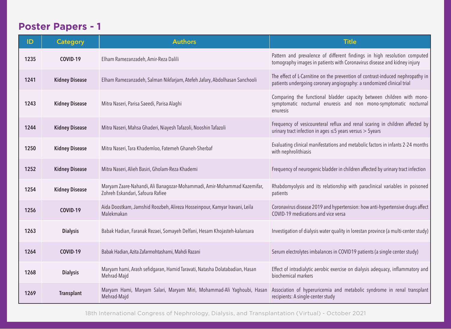## **Poster Papers - 1**

| ID   | <b>Category</b>       | <b>Authors</b>                                                                                              | <b>Title</b>                                                                                                                                            |
|------|-----------------------|-------------------------------------------------------------------------------------------------------------|---------------------------------------------------------------------------------------------------------------------------------------------------------|
| 1235 | COVID-19              | Elham Ramezanzadeh, Amir-Reza Dalili                                                                        | Pattern and prevalence of different findings in high resolution computed<br>tomography images in patients with Coronavirus disease and kidney injury    |
| 1241 | <b>Kidney Disease</b> | Elham Ramezanzadeh, Salman Nikfarjam, Atefeh Jafary, Abdolhasan Sanchooli                                   | The effect of L-Carnitine on the prevention of contrast-induced nephropathy in<br>patients undergoing coronary angiography: a randomized clinical trial |
| 1243 | <b>Kidney Disease</b> | Mitra Naseri, Parisa Saeedi, Parisa Alaghi                                                                  | Comparing the functional bladder capacity between children with mono-<br>symptomatic nocturnal enuresis and non mono-symptomatic nocturnal<br>enuresis  |
| 1244 | <b>Kidney Disease</b> | Mitra Naseri, Mahsa Ghaderi, Niayesh Tafazoli, Nooshin Tafazoli                                             | Frequency of vesicoureteral reflux and renal scaring in children affected by<br>urinary tract infection in ages $\leq$ 5 years versus $>$ 5 years       |
| 1250 | <b>Kidney Disease</b> | Mitra Naseri, Tara Khademloo, Fatemeh Ghaneh-Sherbaf                                                        | Evaluating clinical manifestations and metabolic factors in infants 2-24 months<br>with nephrolithiasis                                                 |
| 1252 | <b>Kidney Disease</b> | Mitra Naseri, Alieh Basiri, Gholam-Reza Khademi                                                             | Frequency of neurogenic bladder in children affected by urinary tract infection                                                                         |
| 1254 | <b>Kidney Disease</b> | Maryam Zaare-Nahandi, Ali Banagozar-Mohammadi, Amir-Mohammad Kazemifar,<br>Zohreh Eskandari, Safoura Rafiee | Rhabdomyolysis and its relationship with paraclinical variables in poisoned<br>patients                                                                 |
| 1256 | COVID-19              | Aida Doostkam, Jamshid Roozbeh, Alireza Hosseinpour, Kamyar Iravani, Leila<br>Malekmakan                    | Coronavirus disease 2019 and hypertension: how anti-hypertensive drugs affect<br>COVID-19 medications and vice versa                                    |
| 1263 | <b>Dialysis</b>       | Babak Hadian, Faranak Rezaei, Somayeh Delfani, Hesam Khojasteh-kalansara                                    | Investigation of dialysis water quality in lorestan province (a multi-center study)                                                                     |
| 1264 | COVID-19              | Babak Hadian, Azita Zafarmohtashami, Mahdi Razani                                                           | Serum electrolytes imbalances in COVID19 patients (a single center study)                                                                               |
| 1268 | <b>Dialysis</b>       | Maryam hami, Arash sefidgaran, Hamid Taravati, Natasha Dolatabadian, Hasan<br>Mehrad-Majd                   | Effect of intradialytic aerobic exercise on dialysis adequacy, inflammatory and<br>biochemical markers                                                  |
| 1269 | <b>Transplant</b>     | Maryam Hami, Maryam Salari, Maryam Miri, Mohammad-Ali Yaqhoubi, Hasan<br>Mehrad-Majd                        | Association of hyperuricemia and metabolic syndrome in renal transplant<br>recipients: A single-center study                                            |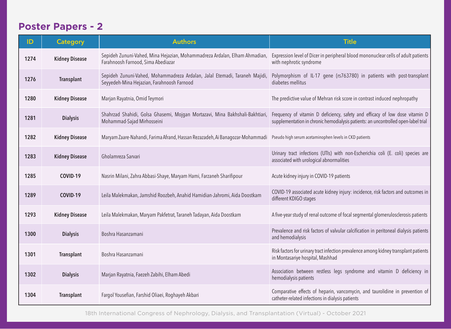## **Poster Papers - 2**

| ID   | <b>Category</b>       | <b>Authors</b>                                                                                                                       | <b>Title</b>                                                                                                                                                       |
|------|-----------------------|--------------------------------------------------------------------------------------------------------------------------------------|--------------------------------------------------------------------------------------------------------------------------------------------------------------------|
| 1274 | <b>Kidney Disease</b> | Sepideh Zununi-Vahed, Mina Hejazian, Mohammadreza Ardalan, Elham Ahmadian,<br>Farahnoosh Farnood, Sima Abediazar                     | Expression level of Dicer in peripheral blood mononuclear cells of adult patients<br>with nephrotic syndrome                                                       |
| 1276 | <b>Transplant</b>     | Sepideh Zununi-Vahed, Mohammadreza Ardalan, Jalal Etemadi, Taraneh Majidi,<br>Seyyedeh-Mina Hejazian, Farahnoosh Farnood             | Polymorphism of IL-17 gene (rs763780) in patients with post-transplant<br>diabetes mellitus                                                                        |
| 1280 | <b>Kidney Disease</b> | Marjan Rayatnia, Omid Teymori                                                                                                        | The predictive value of Mehran risk score in contrast induced nephropathy                                                                                          |
| 1281 | <b>Dialysis</b>       | Shahrzad Shahidi, Golsa Ghasemi, Mojgan Mortazavi, Mina Bakhshali-Bakhtiari,<br>Mohammad-Sajad Mirhosseini                           | Frequency of vitamin D deficiency, safety and efficacy of low dose vitamin D<br>supplementation in chronic hemodialysis patients: an uncontrolled open-label trial |
| 1282 | <b>Kidney Disease</b> | Maryam Zaare-Nahandi, Farima Afrand, Hassan Rezazadeh, Ai Banagozar-Mohammadi Pseudo high serum acetaminophen levels in CKD patients |                                                                                                                                                                    |
| 1283 | <b>Kidney Disease</b> | Gholamreza Sarvari                                                                                                                   | Urinary tract infections (UTIs) with non-Escherichia coli (E. coli) species are<br>associated with urological abnormalities                                        |
| 1285 | COVID-19              | Nasrin Milani, Zahra Abbasi-Shaye, Maryam Hami, Farzaneh Sharifipour                                                                 | Acute kidney injury in COVID-19 patients                                                                                                                           |
| 1289 | COVID-19              | Leila Malekmakan, Jamshid Roozbeh, Anahid Hamidian-Jahromi, Aida Doostkam                                                            | COVID-19 associated acute kidney injury: incidence, risk factors and outcomes in<br>different KDIGO stages                                                         |
| 1293 | <b>Kidney Disease</b> | Leila Malekmakan, Maryam Pakfetrat, Taraneh Tadayan, Aida Doostkam                                                                   | A five-year study of renal outcome of focal segmental glomerulosclerosis patients                                                                                  |
| 1300 | <b>Dialysis</b>       | Boshra Hasanzamani                                                                                                                   | Prevalence and risk factors of valvular calcification in peritoneal dialysis patients<br>and hemodialysis                                                          |
| 1301 | <b>Transplant</b>     | Boshra Hasanzamani                                                                                                                   | Risk factors for urinary tract infection prevalence among kidney transplant patients<br>in Montasariye hospital, Mashhad                                           |
| 1302 | <b>Dialysis</b>       | Marjan Rayatnia, Faezeh Zabihi, Elham Abedi                                                                                          | Association between restless legs syndrome and vitamin D deficiency in<br>hemodialysis patients                                                                    |
| 1304 | <b>Transplant</b>     | Fargol Yousefian, Farshid Oliaei, Roghayeh Akbari                                                                                    | Comparative effects of heparin, vancomycin, and taurolidine in prevention of<br>catheter-related infections in dialysis patients                                   |